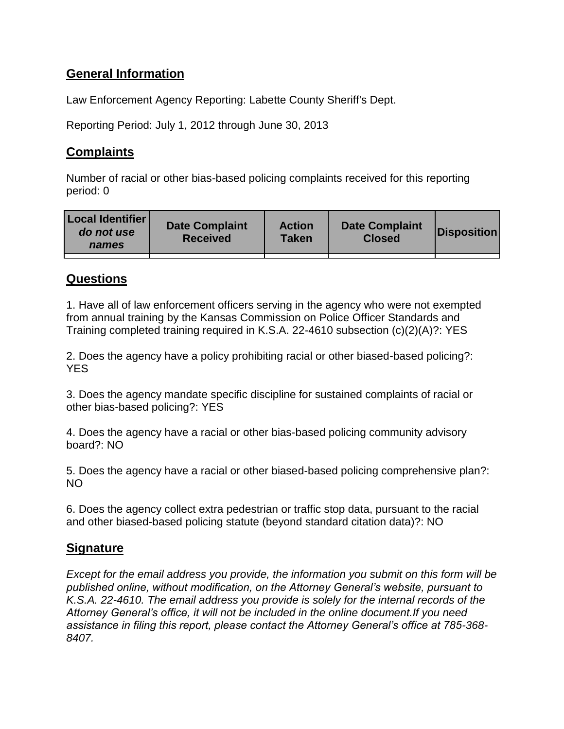# **General Information**

Law Enforcement Agency Reporting: Labette County Sheriff's Dept.

Reporting Period: July 1, 2012 through June 30, 2013

## **Complaints**

Number of racial or other bias-based policing complaints received for this reporting period: 0

| <b>Local Identifier</b><br>do not use<br>names | <b>Date Complaint</b><br><b>Received</b> | <b>Action</b><br>Taken | <b>Date Complaint</b><br><b>Closed</b> | Disposition |
|------------------------------------------------|------------------------------------------|------------------------|----------------------------------------|-------------|
|                                                |                                          |                        |                                        |             |

## **Questions**

1. Have all of law enforcement officers serving in the agency who were not exempted from annual training by the Kansas Commission on Police Officer Standards and Training completed training required in K.S.A. 22-4610 subsection (c)(2)(A)?: YES

2. Does the agency have a policy prohibiting racial or other biased-based policing?: **YES** 

3. Does the agency mandate specific discipline for sustained complaints of racial or other bias-based policing?: YES

4. Does the agency have a racial or other bias-based policing community advisory board?: NO

5. Does the agency have a racial or other biased-based policing comprehensive plan?: NO

6. Does the agency collect extra pedestrian or traffic stop data, pursuant to the racial and other biased-based policing statute (beyond standard citation data)?: NO

## **Signature**

*Except for the email address you provide, the information you submit on this form will be published online, without modification, on the Attorney General's website, pursuant to K.S.A. 22-4610. The email address you provide is solely for the internal records of the Attorney General's office, it will not be included in the online document.If you need assistance in filing this report, please contact the Attorney General's office at 785-368- 8407.*